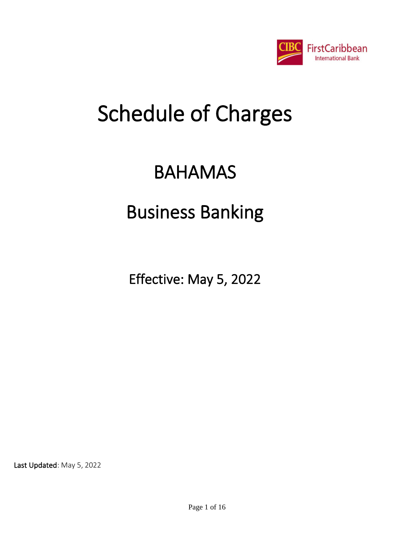

## BAHAMAS

## Business Banking

Effective: May 5, 2022

Last Updated: May 5, 2022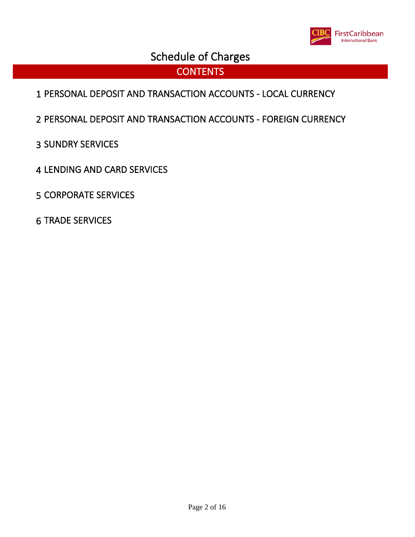

### **CONTENTS**

- PERSONAL DEPOSIT AND TRANSACTION ACCOUNTS LOCAL CURRENCY
- PERSONAL DEPOSIT AND TRANSACTION ACCOUNTS FOREIGN CURRENCY
- SUNDRY SERVICES
- LENDING AND CARD SERVICES
- CORPORATE SERVICES
- TRADE SERVICES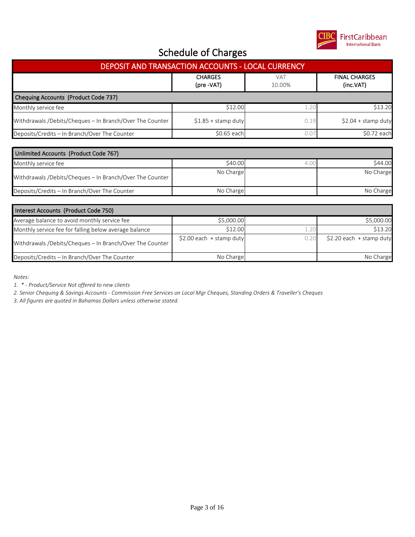

| DEPOSIT AND TRANSACTION ACCOUNTS - LOCAL CURRENCY        |                              |                      |                                   |  |  |
|----------------------------------------------------------|------------------------------|----------------------|-----------------------------------|--|--|
|                                                          | <b>CHARGES</b><br>(pre -VAT) | <b>VAT</b><br>10.00% | <b>FINAL CHARGES</b><br>(inc.VAT) |  |  |
| Chequing Accounts (Product Code 737)                     |                              |                      |                                   |  |  |
| Monthly service fee                                      | \$12.00                      | 1.20                 | \$13.20                           |  |  |
| Withdrawals /Debits/Cheques - In Branch/Over The Counter | $$1.85 +$ stamp duty         | 0.19                 | $$2.04 + stamp$ duty              |  |  |
| Deposits/Credits - In Branch/Over The Counter            | \$0.65 each                  | 0.07                 | \$0.72 each                       |  |  |
| Unlimited Accounts (Product Code 767)                    |                              |                      |                                   |  |  |
| Monthly service fee                                      | \$40.00                      | 4.00                 | \$44.00                           |  |  |
| Withdrawals /Debits/Cheques - In Branch/Over The Counter | No Charge                    |                      | No Charge                         |  |  |
| Deposits/Credits - In Branch/Over The Counter            | No Charge                    |                      | No Charge                         |  |  |
|                                                          |                              |                      |                                   |  |  |
| Interest Accounts (Product Code 750)                     |                              |                      |                                   |  |  |
| Average balance to avoid monthly service fee             | \$5,000.00                   |                      | \$5,000.00                        |  |  |
| Monthly service fee for falling helow average halance    | \$12.00                      | 120                  | \$13.20                           |  |  |

| Monthly service fee for falling below average balance    | \$12.00                    | \$13.20                   |
|----------------------------------------------------------|----------------------------|---------------------------|
| Withdrawals /Debits/Cheques - In Branch/Over The Counter | \$2.00 each $+$ stamp duty | $$2.20$ each + stamp duty |
| Deposits/Credits - In Branch/Over The Counter            | No Charge                  | No Charge                 |

*Notes:*

*1. \* - Product/Service Not offered to new clients*

*2. Senior Chequing & Savings Accounts - Commission Free Services on Local Mgr Cheques, Standing Orders & Traveller's Cheques*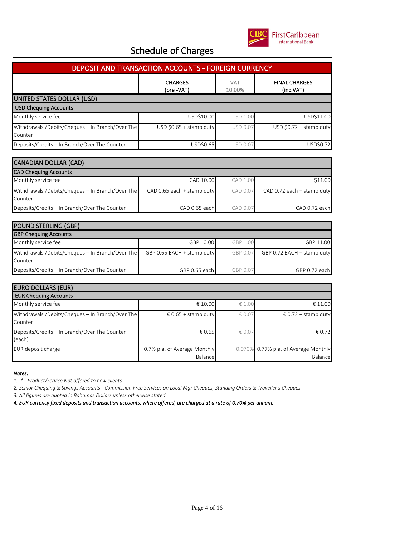

| <b>DEPOSIT AND TRANSACTION ACCOUNTS - FOREIGN CURRENCY</b>  |                                   |                 |                         |  |  |
|-------------------------------------------------------------|-----------------------------------|-----------------|-------------------------|--|--|
|                                                             | <b>FINAL CHARGES</b><br>(inc.VAT) |                 |                         |  |  |
| UNITED STATES DOLLAR (USD)                                  |                                   |                 |                         |  |  |
| <b>USD Chequing Accounts</b>                                |                                   |                 |                         |  |  |
| Monthly service fee                                         | USD\$10.00                        | <b>USD 1.00</b> | USD\$11.00              |  |  |
| Withdrawals /Debits/Cheques - In Branch/Over The<br>Counter | USD \$0.65 + stamp duty           | USD 0.07        | USD \$0.72 + stamp duty |  |  |
| Deposits/Credits - In Branch/Over The Counter               | USD\$0.65                         | USD 0.07        | USD\$0.72               |  |  |
|                                                             |                                   |                 |                         |  |  |
| <b>CANADIAN DOLLAR (CAD)</b>                                |                                   |                 |                         |  |  |
| <b>CAD Chequing Accounts</b>                                |                                   |                 |                         |  |  |
| Monthly convice foo                                         | CAD 1000                          | CAD100          | 61100                   |  |  |

| Monthly service fee                              | CAD 10.00                  | CAD 1.00 | \$11.00                    |
|--------------------------------------------------|----------------------------|----------|----------------------------|
| Withdrawals /Debits/Cheques - In Branch/Over The | CAD 0.65 each + stamp duty | CAD 0.07 | CAD 0.72 each + stamp duty |
| Counter                                          |                            |          |                            |
| Deposits/Credits - In Branch/Over The Counter    | CAD 0.65 each              | CAD 0.07 | CAD 0.72 each              |

| <b>POUND STERLING (GBP)</b>                                 |                            |          |                            |
|-------------------------------------------------------------|----------------------------|----------|----------------------------|
| <b>GBP Chequing Accounts</b>                                |                            |          |                            |
| Monthly service fee                                         | GBP 10.00                  | GBP 1.00 | GBP 11.00                  |
| Withdrawals /Debits/Cheques - In Branch/Over The<br>Counter | GBP 0.65 EACH + stamp duty | GBP 0.07 | GBP 0.72 EACH + stamp duty |
| Deposits/Credits - In Branch/Over The Counter               | GBP 0.65 each              | GBP 0.07 | GBP 0.72 each              |

| <b>EURO DOLLARS (EUR)</b>                                   |                                         |                |                                                 |  |  |  |
|-------------------------------------------------------------|-----------------------------------------|----------------|-------------------------------------------------|--|--|--|
| <b>EUR Chequing Accounts</b>                                |                                         |                |                                                 |  |  |  |
| Monthly service fee                                         | € 10.00                                 | € 1.00         | € 11.00                                         |  |  |  |
| Withdrawals /Debits/Cheques - In Branch/Over The<br>Counter | € 0.65 + stamp duty                     | $\notin$ 0.0   | € 0.72 + stamp duty                             |  |  |  |
| Deposits/Credits - In Branch/Over The Counter<br>(each)     | € 0.65                                  | $\epsilon$ 0.0 | € 0.72                                          |  |  |  |
| EUR deposit charge                                          | 0.7% p.a. of Average Monthly<br>Balance |                | 0.070% 0.77% p.a. of Average Monthly<br>Balance |  |  |  |

*Notes:*

*1. \* - Product/Service Not offered to new clients*

*2. Senior Chequing & Savings Accounts - Commission Free Services on Local Mgr Cheques, Standing Orders & Traveller's Cheques*

*3. All figures are quoted in Bahamas Dollars unless otherwise stated.*

*4. EUR currency fixed deposits and transaction accounts, where offered, are charged at a rate of 0.70% per annum.*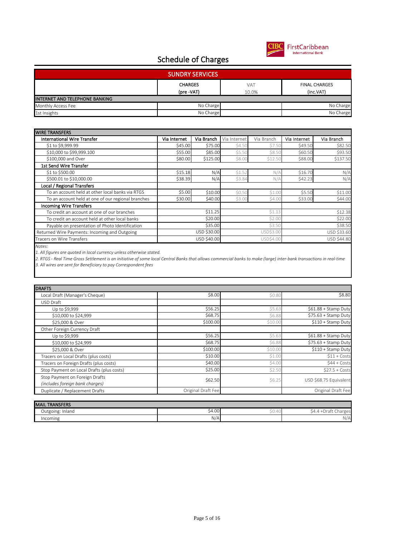

| <b>SUNDRY SERVICES</b>         |                |            |                      |  |  |
|--------------------------------|----------------|------------|----------------------|--|--|
|                                | <b>CHARGES</b> | <b>VAT</b> | <b>FINAL CHARGES</b> |  |  |
|                                | (pre -VAT)     | 10.0%      | (inc.VAT)            |  |  |
| INTERNET AND TELEPHONE BANKING |                |            |                      |  |  |
| Monthly Access Fee             | No Charge      |            | No Charge            |  |  |
| 1st Insights                   | No Charge      |            | No Charge            |  |  |

| <b>WIRE TRANSFERS</b>                              |              |             |              |            |              |             |
|----------------------------------------------------|--------------|-------------|--------------|------------|--------------|-------------|
| <b>International Wire Transfer</b>                 | Via Internet | Via Branch  | Via Internet | Via Branch | Via Internet | Via Branch  |
| \$1 to \$9,999.99                                  | \$45.00      | \$75.00     | \$4.50       | \$7.50     | \$49.50      | \$82.50     |
| \$10,000 to \$99,999.100                           | \$55.00      | \$85.00     | \$5.50       | \$8.50     | \$60.50      | \$93.50     |
| \$100,000 and Over                                 | \$80.00      | \$125.00    | \$8.00       | \$12.50    | \$88.00      | \$137.50    |
| 1st Send Wire Transfer                             |              |             |              |            |              |             |
| \$1 to \$500.00                                    | \$15.18      | N/A         | \$1.52       | N/A        | \$16.70      | N/A         |
| \$500.01 to \$10,000.00                            | \$38.39      | N/A         | \$3.84       | N/A        | \$42.23      | N/A         |
| <b>Local / Regional Transfers</b>                  |              |             |              |            |              |             |
| To an account held at other local banks via RTGS   | \$5.00       | \$10.00     | \$0.50       | \$1.00     | \$5.50       | \$11.00     |
| To an account held at one of our regional branches | \$30.00      | \$40.00     | \$3.00       | \$4.00     | \$33.00      | \$44.00     |
| <b>Incoming Wire Transfers</b>                     |              |             |              |            |              |             |
| To credit an account at one of our branches        |              | \$11.25     |              | \$1.13     |              | \$12.38     |
| To credit an account held at other local banks     |              | \$20,00     |              | \$2.00     |              | \$22.00     |
| Payable on presentation of Photo Identification    |              | \$35.00     |              | \$3.50     |              | \$38.50     |
| Returned Wire Payments: Incoming and Outgoing      |              | USD \$30.00 |              | USD\$3.00  |              | USD \$33.60 |
| Tracers on Wire Transfers                          |              | USD \$40.00 |              | USD\$4.00  |              | USD \$44.80 |

*Notes:*

*1. All figures are quoted in local currency unless otherwise stated.*

*2. RTGS - Real Time Gross Settlement is an initiative of some local Central Banks that allows commercial banks to make (large) inter-bank transactions in real-time 3. All wires are sent for Beneficiary to pay Correspondent fees*

| <b>DRAFTS</b>                                                     |                    |         |                        |
|-------------------------------------------------------------------|--------------------|---------|------------------------|
| Local Draft (Manager's Cheque)                                    | \$8.00             | \$0.80  | \$8.80                 |
| USD Draft                                                         |                    |         |                        |
| Up to \$9,999                                                     | \$56.25            | \$5.63  | \$61.88 + Stamp Duty   |
| \$10,000 to \$24,999                                              | \$68.75            | \$6.88  | \$75.63 + Stamp Duty   |
| \$25,000 & Over                                                   | \$100.00           | \$10.00 | \$110 + Stamp Duty     |
| Other Foreign Currency Draft                                      |                    |         |                        |
| Up to \$9,999                                                     | \$56.25            | \$5.63  | \$61.88 + Stamp Duty   |
| \$10,000 to \$24,999                                              | \$68.75            | \$6.88  | \$75.63 + Stamp Duty   |
| \$25,000 & Over                                                   | \$100.00           | \$10.00 | \$110 + Stamp Duty     |
| Tracers on Local Drafts (plus costs)                              | \$10.00            | \$1.00  | $$11 + Costs$          |
| Tracers on Foreign Drafts (plus costs)                            | \$40.00            | \$4.00  | $$44 + Costs$          |
| Stop Payment on Local Drafts (plus costs)                         | \$25.00            | \$2.50  | $$27.5 + Costs$        |
| Stop Payment on Foreign Drafts<br>(includes foreign bank charges) | \$62.50            | \$6.25  | USD \$68.75 Equivalent |
| Duplicate / Replacement Drafts                                    | Original Draft Fee |         | Original Draft Fee     |

| <b>MAIL TRANSFERS</b> |                 |       |                                                              |
|-----------------------|-----------------|-------|--------------------------------------------------------------|
| Outgoing: Inland      | $\cap$<br>54.UU | 50.40 | $\sim$<br>arges.<br>$\mathcal{L}$<br>74 д<br>-∪i di<br>tidi. |
| Incoming              | N/A             |       | N/A                                                          |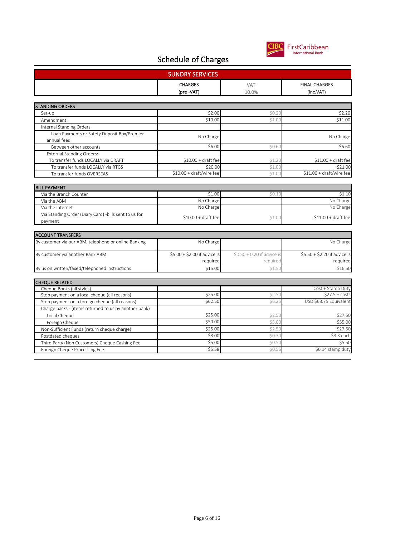

| <b>SUNDRY SERVICES</b>                                     |                              |                             |                                   |  |  |
|------------------------------------------------------------|------------------------------|-----------------------------|-----------------------------------|--|--|
|                                                            | <b>CHARGES</b><br>(pre -VAT) | <b>VAT</b><br>10.0%         | <b>FINAL CHARGES</b><br>(inc.VAT) |  |  |
|                                                            |                              |                             |                                   |  |  |
| <b>STANDING ORDERS</b>                                     |                              |                             |                                   |  |  |
| Set-up                                                     | \$2.00                       | \$0.20                      | \$2.20                            |  |  |
| Amendment                                                  | \$10.00                      | \$1.00                      | \$11.00                           |  |  |
| Internal Standing Orders                                   |                              |                             |                                   |  |  |
| Loan Payments or Safety Deposit Box/Premier<br>annual fees | No Charge                    |                             | No Charge                         |  |  |
| Between other accounts                                     | \$6.00                       | \$0.60                      | \$6.60                            |  |  |
| <b>External Standing Orders:</b>                           |                              |                             |                                   |  |  |
| To transfer funds LOCALLY via DRAFT                        | $$10.00 + dr$ aft fee        | \$1.2C                      | $$11.00 + draft fee$              |  |  |
| To transfer funds LOCALLY via RTGS                         | \$20.00                      | \$1.00                      | \$21.00                           |  |  |
| To transfer funds OVERSEAS                                 | \$10.00 + draft/wire fee     | \$1.00                      | \$11.00 + draft/wire fee          |  |  |
|                                                            |                              |                             |                                   |  |  |
| <b>BILL PAYMENT</b>                                        |                              |                             |                                   |  |  |
| Via the Branch Counter                                     | \$1.00                       | \$0.10                      | \$1.10                            |  |  |
| Via the ABM                                                | No Charge                    |                             | No Charge                         |  |  |
| Via the Internet                                           | No Charge                    |                             | No Charge                         |  |  |
| Via Standing Order (Diary Card) -bills sent to us for      | $$10.00 + draft fee$         | \$1.00                      | $$11.00 + draft fee$              |  |  |
| payment                                                    |                              |                             |                                   |  |  |
|                                                            |                              |                             |                                   |  |  |
| <b>ACCOUNT TRANSFERS</b>                                   |                              |                             |                                   |  |  |
| By customer via our ABM, telephone or online Banking       | No Charge                    |                             | No Charge                         |  |  |
| By customer via another Bank ABM                           | \$5.00 + \$2.00 if advice is | $$0.50 + 0.20$ if advice is | \$5.50 + \$2.20 if advice is      |  |  |
|                                                            | required                     | required                    | required                          |  |  |
| By us on written/faxed/telephoned instructions             | \$15.00                      | \$1.50                      | \$16.50                           |  |  |
|                                                            |                              |                             |                                   |  |  |
| <b>CHEQUE RELATED</b>                                      |                              |                             |                                   |  |  |
| Cheque Books (all styles)                                  |                              |                             | Cost + Stamp Duty                 |  |  |
| Stop payment on a local cheque (all reasons)               | \$25.00                      | \$2.50                      | $$27.5 + cost$                    |  |  |
| Stop payment on a foreign cheque (all reasons)             | \$62.50                      | \$6.25                      | USD \$68.75 Equivalen             |  |  |
| Charge backs - (items returned to us by another bank)      |                              |                             |                                   |  |  |
| Local Cheque                                               | \$25.00                      | \$2.50                      | \$27.50                           |  |  |
| Foreign Cheque                                             | \$50.00                      | \$5.00                      | \$55.00                           |  |  |
| Non-Sufficient Funds (return cheque charge)                | \$25.00                      | \$2.50                      | \$27.50                           |  |  |
| Postdated cheques                                          | \$3.00                       | \$0.30                      | \$3.3 each                        |  |  |
| Third Party (Non Customers) Cheque Cashing Fee             | \$5.00                       | \$0.50                      | \$5.50                            |  |  |
| Foreign Cheque Processing Fee                              | \$5.58                       | \$0.56                      | \$6.14 stamp duty                 |  |  |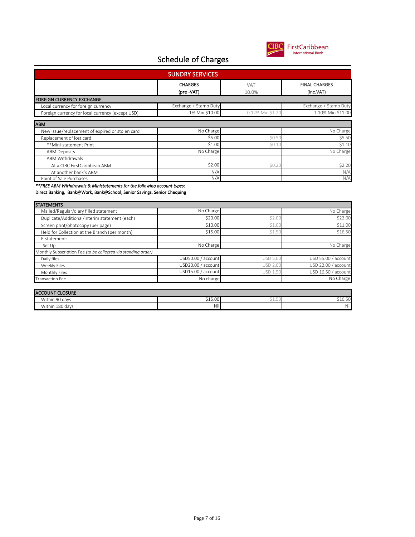

| <b>SUNDRY SERVICES</b>                           |                              |                     |                                   |  |  |  |
|--------------------------------------------------|------------------------------|---------------------|-----------------------------------|--|--|--|
|                                                  | <b>CHARGES</b><br>(pre -VAT) | <b>VAT</b><br>10.0% | <b>FINAL CHARGES</b><br>(inc.VAT) |  |  |  |
| <b>FOREIGN CURRENCY EXCHANGE</b>                 |                              |                     |                                   |  |  |  |
| Local currency for foreign currency              | Exchange + Stamp Duty        |                     | Exchange + Stamp Duty             |  |  |  |
| Foreign currency for local currency (except USD) | 1% Min \$10.00               | 0.12% Min \$1.20    | 1.10% Min \$11.00                 |  |  |  |
| <b>ABM</b>                                       |                              |                     |                                   |  |  |  |
| New issue/replacement of expired or stolen card  | No Charge                    |                     | No Charge                         |  |  |  |
| Replacement of lost card                         | \$5.00                       | \$0.50              | \$5.50                            |  |  |  |
| **Mini-statement Print                           | \$1.00                       | \$0.10              | \$1.10                            |  |  |  |
| <b>ABM Deposits</b>                              | No Charge                    |                     | No Charge                         |  |  |  |
| ABM Withdrawals                                  |                              |                     |                                   |  |  |  |
| At a CIBC FirstCaribbean ABM                     | \$2.00                       | \$0.20              | \$2.20                            |  |  |  |
| At another bank's ABM                            | N/A                          |                     | N/A                               |  |  |  |
| Point of Sale Purchases                          | N/A                          |                     | N/A                               |  |  |  |

*\*\*FREE ABM Withdrawals & Ministatements for the following account types:*

Direct Banking, Bank@Work, Bank@School, Senior Savings, Senior Chequing

|                 | No Charge                                                                                                                              |
|-----------------|----------------------------------------------------------------------------------------------------------------------------------------|
| \$2.00          | \$22.00                                                                                                                                |
| \$1.00          | \$11.00                                                                                                                                |
| \$1.50          | \$16.50                                                                                                                                |
|                 |                                                                                                                                        |
|                 | No Charge                                                                                                                              |
|                 |                                                                                                                                        |
| <b>USD 5.00</b> | USD 55.00 / account                                                                                                                    |
| <b>USD 2.00</b> | USD 22.00 / account                                                                                                                    |
| <b>USD 1.50</b> | USD 16.50 / account                                                                                                                    |
|                 | No Charge                                                                                                                              |
|                 |                                                                                                                                        |
|                 | No Charge<br>\$20,00<br>\$10.00<br>\$15,00<br>No Charge<br>USD50.00 / account<br>USD20.00 / account<br>USD15.00 / account<br>No charge |

| <b>ACCOUNT CLOSURE</b> |         |                |       |  |
|------------------------|---------|----------------|-------|--|
| Within 90 days         | \$15.00 | <br>ا ب علم اب | 10.JU |  |
| Within 180 days        | Nil     |                | Nil   |  |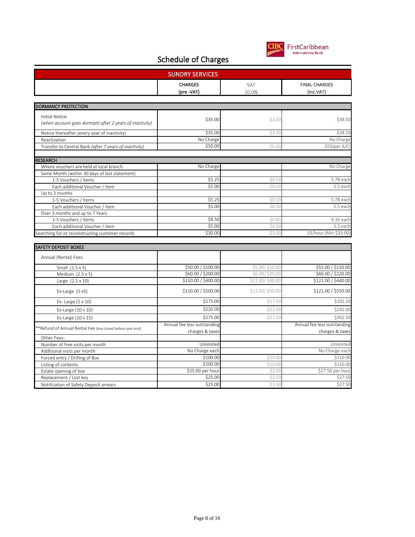

| <b>SUNDRY SERVICES</b>                                     |                                                |                     |                                                |  |
|------------------------------------------------------------|------------------------------------------------|---------------------|------------------------------------------------|--|
|                                                            | <b>CHARGES</b><br>(pre -VAT)                   | <b>VAT</b><br>10.0% | <b>FINAL CHARGES</b><br>(inc.VAT)              |  |
| DORMANCY PROTECTION                                        |                                                |                     |                                                |  |
| <b>Initial Notice</b>                                      |                                                |                     |                                                |  |
| (when account goes dormant after 2 years of inactivity)    | \$35.00                                        | \$3.50              | \$38.50                                        |  |
| Notice thereafter (every year of inactivity)               | \$35.00                                        | \$3.50              | \$38.50                                        |  |
| Reactivation                                               | No Charge                                      |                     | No Charge                                      |  |
| Transfer to Central Bank (after 7 years of inactivity)     | \$50.00                                        | \$5.00              | \$55(per A/C)                                  |  |
| <b>RESEARCH</b>                                            |                                                |                     |                                                |  |
| Where vouchers are held at local branch                    | No Charge                                      |                     | No Charge                                      |  |
| Same Month (within 30 days of last statement)              |                                                |                     |                                                |  |
| 1-5 Vouchers / Items                                       | \$5.25                                         | \$0.53              | 5.78 each                                      |  |
| Each additional Voucher / Item                             | \$5.00                                         | \$0.5C              | 5.5 each                                       |  |
| Up to 3 months                                             |                                                |                     |                                                |  |
| 1-5 Vouchers / Items                                       | \$5.25                                         | \$0.53              | 5.78 each                                      |  |
| Each additional Voucher / Item                             | \$5.00                                         | \$0.50              | 5.5 each                                       |  |
| Over 3 months and up to 7 Years                            |                                                |                     |                                                |  |
| 1-5 Vouchers / Items                                       | \$8.50                                         | \$0.85              | 9.35 each                                      |  |
| Each additional Voucher / Item                             | \$5.00                                         | \$0.50              | 5.5 each                                       |  |
| Searching for or reconstructing customer records           | \$30.00                                        | \$3.00              | 33/hour (Min \$33.00)                          |  |
| <b>SAFETY DEPOSIT BOXES</b>                                |                                                |                     |                                                |  |
| Annual (Rental) Fees                                       |                                                |                     |                                                |  |
| Small (1.5 x 5)                                            | \$50.00 / \$100.00                             | \$5.00/\$10.00      | \$55.00 / \$110.00                             |  |
| Medium (2.5 x 5)                                           | \$60.00 / \$200.00                             | \$6.00/\$20.00      | \$66.00 / \$220.00                             |  |
| Large $(2.5 \times 10)$                                    | \$110.00 / \$400.00                            | \$11.00/\$40.00     | \$121.00 / \$440.00                            |  |
| Ex-Large $(5 x5)$                                          | \$110.00 / \$500.00                            | \$11.00/\$50.00     | \$121.00 / \$550.00                            |  |
| Ex- Large (5 x 10)                                         | \$175.00                                       | \$17.50             | \$192.50                                       |  |
| Ex-Large (10 x 10)                                         | \$220.00                                       | \$22.00             | \$242.00                                       |  |
| Ex-Large (10 x 15)                                         | \$275.00                                       | \$27.50             | \$302.50                                       |  |
| **Refund of Annual Rental Fee (box closed before year end) | Annual fee less outstanding<br>charges & taxes |                     | Annual fee less outstanding<br>charges & taxes |  |
| Other Fees:                                                |                                                |                     |                                                |  |
| Number of free visits per month                            | Unlimited                                      |                     | Unlimited                                      |  |
| Additional visits per month                                | No Charge each                                 |                     | No Charge each                                 |  |
| Forced entry / Drilling of Box                             | \$100.00                                       | \$10.00             | \$110.00                                       |  |
| Listing of contents                                        | \$100.00                                       | \$10.00             | \$110.00                                       |  |
| Estate opening of box                                      | \$25.00 per hour                               | \$2.50              | \$27.50 per hour                               |  |
| Replacement / Lost key                                     | \$25.00                                        | \$2.50              | \$27.50                                        |  |
| Notification of Safety Deposit arrears                     | \$25.00                                        | \$2.50              | \$27.50                                        |  |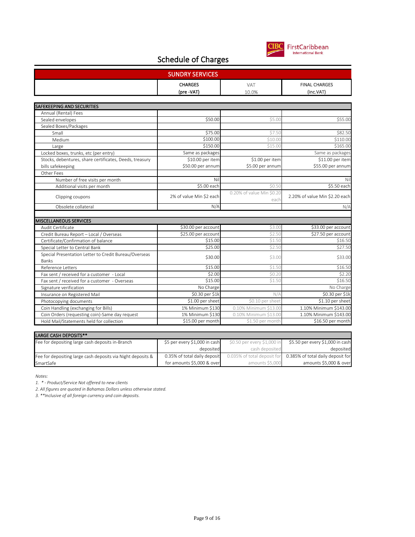

|                                                                                        | <b>CHARGES</b>           | VAT                               | <b>FINAL CHARGES</b>           |
|----------------------------------------------------------------------------------------|--------------------------|-----------------------------------|--------------------------------|
|                                                                                        | (pre-VAT)                | 10.0%                             | (inc.VAT)                      |
|                                                                                        |                          |                                   |                                |
| <b>SAFEKEEPING AND SECURITIES</b>                                                      |                          |                                   |                                |
| Annual (Rental) Fees                                                                   |                          |                                   |                                |
| Sealed envelopes                                                                       | \$50.00                  | \$5.00                            | \$55.00                        |
| Sealed Boxes/Packages                                                                  |                          |                                   |                                |
| Small                                                                                  | \$75.00                  | \$7.50                            | \$82.50                        |
| Medium                                                                                 | \$100.00                 | \$10.00                           | \$110.00                       |
| Large                                                                                  | \$150.00                 | \$15.00                           | \$165.00                       |
| Locked boxes, trunks, etc (per entry)                                                  | Same as packages         |                                   | Same as packages               |
| Stocks, debentures, share certificates, Deeds, treasury                                | \$10.00 per item         | \$1.00 per item                   | \$11.00 per item               |
| bills safekeeping                                                                      | \$50.00 per annum        | \$5.00 per annum                  | \$55.00 per annum              |
| Other Fees                                                                             |                          |                                   |                                |
| Number of free visits per month                                                        | Nil                      |                                   | Nil                            |
| Additional visits per month                                                            | \$5.00 each              | \$0.50                            | \$5.50 each                    |
| Clipping coupons                                                                       | 2% of value Min \$2 each | 0.20% of value Min \$0.20<br>each | 2.20% of value Min \$2.20 each |
| Obsolete collateral                                                                    | N/A                      |                                   | N/A                            |
|                                                                                        |                          |                                   |                                |
| <b>MISCELLANEOUS SERVICES</b>                                                          |                          |                                   |                                |
| Audit Certificate                                                                      | \$30.00 per account      | \$3.00                            | \$33.00 per account            |
| Credit Bureau Report - Local / Overseas                                                | \$25.00 per account      | \$2.50                            | \$27.50 per account            |
| Certificate/Confirmation of balance                                                    | \$15.00                  | \$1.50                            | \$16.50                        |
| Special Letter to Central Bank                                                         | \$25.00                  | \$2.50                            | \$27.50                        |
| Special Presentation Letter to Credit Bureau/Overseas                                  |                          |                                   |                                |
| Banks                                                                                  | \$30.00                  | \$3.00                            | \$33.00                        |
| <b>Reference Letters</b>                                                               | \$15.00                  | \$1.50                            | \$16.50                        |
| Fax sent / received for a customer - Local                                             | \$2.00                   | \$0.20                            | \$2.20                         |
| Fax sent / received for a customer - Overseas                                          | \$15.00                  | \$1.50                            | \$16.50                        |
| Signature verification                                                                 | No Charge                |                                   | No Charge                      |
| Insurance on Registered Mail                                                           | \$0.30 per \$1k          | N/A                               | \$0.30 per \$1k                |
| Photocopying documents                                                                 | \$1.00 per sheet         | \$0.10 per sheet                  | \$1.10 per sheet               |
|                                                                                        | 1% Minimum \$130         | 0.10% Minimum \$13.00             | 1.10% Minimum \$143.00         |
|                                                                                        |                          |                                   |                                |
| Coin Handling (exchanging for Bills)<br>Coin Orders (requesting coin)-Same day request | 1% Minimum \$130         | 0.10% Minimum \$13.00             | 1.10% Minimum \$143.00         |

| <b>ILANGE CASH DEPUSITS</b>                                 |                               |                             |                                   |  |
|-------------------------------------------------------------|-------------------------------|-----------------------------|-----------------------------------|--|
| Fee for depositing large cash deposits in-Branch            | \$5 per every \$1,000 in cash | \$0.50 per every \$1,000 in | \$5.50 per every \$1,000 in cash  |  |
|                                                             | deposited                     | cash deposited              | deposited                         |  |
| Fee for depositing large cash deposits via Night deposits & | 0.35% of total daily deposit  | 0.035% of total deposit for | 0.385% of total daily deposit for |  |
| SmartSafe                                                   | for amounts \$5,000 & over    | amounts \$5,000             | amounts \$5,000 & over            |  |

*Notes:*

*1. \* - Product/Service Not offered to new clients*

*2. All figures are quoted in Bahamas Dollars unless otherwise stated.*

*3. \*\*Inclusive of all foreign currency and coin deposits.*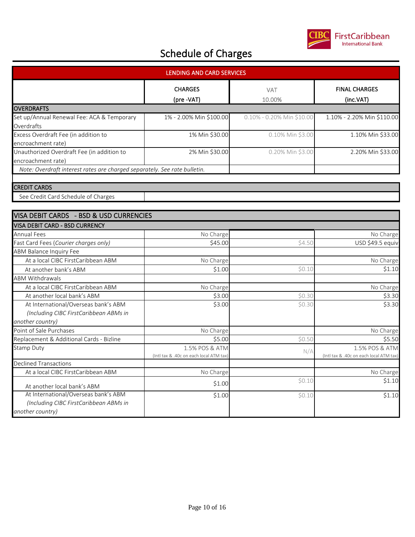

| LENDING AND CARD SERVICES                                                 |                                         |                           |                                         |  |
|---------------------------------------------------------------------------|-----------------------------------------|---------------------------|-----------------------------------------|--|
|                                                                           | <b>CHARGES</b><br>(pre-VAT)             | VAT<br>10.00%             | <b>FINAL CHARGES</b><br>(inc.VAT)       |  |
| <b>OVERDRAFTS</b>                                                         |                                         |                           |                                         |  |
| Set up/Annual Renewal Fee: ACA & Temporary<br>Overdrafts                  | 1% - 2.00% Min \$100.00                 | 0.10% - 0.20% Min \$10.00 | 1.10% - 2.20% Min \$110.00              |  |
| Excess Overdraft Fee (in addition to                                      | 1% Min \$30.00                          | 0.10% Min \$3.00          | 1.10% Min \$33.00                       |  |
| encroachment rate)                                                        |                                         |                           |                                         |  |
| Unauthorized Overdraft Fee (in addition to                                | 2% Min \$30.00                          | 0.20% Min \$3.00          | 2.20% Min \$33.00                       |  |
| encroachment rate)                                                        |                                         |                           |                                         |  |
| Note: Overdraft interest rates are charged separately. See rate bulletin. |                                         |                           |                                         |  |
|                                                                           |                                         |                           |                                         |  |
| <b>CREDIT CARDS</b>                                                       |                                         |                           |                                         |  |
| See Credit Card Schedule of Charges                                       |                                         |                           |                                         |  |
|                                                                           |                                         |                           |                                         |  |
| VISA DEBIT CARDS - BSD & USD CURRENCIES                                   |                                         |                           |                                         |  |
| VISA DEBIT CARD - BSD CURRENCY                                            |                                         |                           |                                         |  |
| <b>Annual Fees</b>                                                        | No Charge                               |                           | No Charge                               |  |
| Fast Card Fees (Courier charges only)                                     | \$45.00                                 | \$4.50                    | USD \$49.5 equiv                        |  |
| <b>ABM Balance Inquiry Fee</b>                                            |                                         |                           |                                         |  |
| At a local CIBC FirstCaribbean ABM                                        | No Charge                               |                           | No Charge                               |  |
| At another bank's ABM                                                     | \$1.00                                  | \$0.10                    | \$1.10                                  |  |
| <b>ABM Withdrawals</b>                                                    |                                         |                           |                                         |  |
| At a local CIBC FirstCaribbean ABM                                        | No Charge                               |                           | No Charge                               |  |
| At another local bank's ABM                                               | \$3.00                                  | \$0.30                    | \$3.30                                  |  |
| At International/Overseas bank's ABM                                      | \$3.00                                  | \$0.30                    | \$3.30                                  |  |
| (Including CIBC FirstCaribbean ABMs in                                    |                                         |                           |                                         |  |
| another country)                                                          |                                         |                           |                                         |  |
| Point of Sale Purchases                                                   | No Charge                               |                           | No Charge                               |  |
| Replacement & Additional Cards - Bizline                                  | \$5.00                                  | \$0.50                    | \$5.50                                  |  |
| <b>Stamp Duty</b>                                                         | 1.5% POS & ATM                          |                           | 1.5% POS & ATM                          |  |
|                                                                           | (Intl tax & .40c on each local ATM tax) | N/A                       | (Intl tax & .40c on each local ATM tax) |  |
| <b>Declined Transactions</b>                                              |                                         |                           |                                         |  |
| At a local CIBC FirstCaribbean ABM                                        | No Charge                               |                           | No Charge                               |  |
| At another local bank's ABM                                               | \$1.00                                  | \$0.10                    | \$1.10                                  |  |
| At International/Overseas bank's ABM                                      | \$1.00                                  | \$0.10                    | \$1.10                                  |  |
| (Including CIBC FirstCaribbean ABMs in                                    |                                         |                           |                                         |  |
| another country)                                                          |                                         |                           |                                         |  |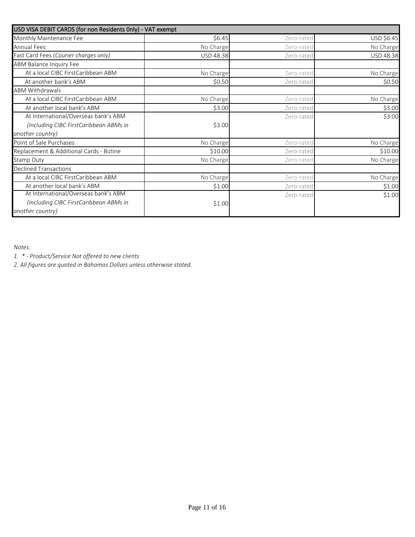| USD VISA DEBIT CARDS (for non Residents Only) - VAT exempt |                  |            |                  |
|------------------------------------------------------------|------------------|------------|------------------|
| Monthly Maintenance Fee                                    | \$6.45           | Zero-rated | USD \$6.45       |
| <b>Annual Fees</b>                                         | No Charge        | Zero-rated | No Charge        |
| Fast Card Fees (Courier charges only)                      | <b>USD 48.38</b> | Zero-rated | <b>USD 48.38</b> |
| ABM Balance Inquiry Fee                                    |                  |            |                  |
| At a local CIBC FirstCaribbean ABM                         | No Charge        | Zero-rated | No Charge        |
| At another bank's ABM                                      | \$0.50           | Zero-rated | \$0.50           |
| <b>ABM Withdrawals</b>                                     |                  |            |                  |
| At a local CIBC FirstCaribbean ABM                         | No Charge        | Zero-rated | No Charge        |
| At another local bank's ABM                                | \$3.00           | Zero-rated | \$3.00           |
| At International/Overseas bank's ABM                       |                  | Zero-rated | \$3.00           |
| (Including CIBC FirstCaribbean ABMs in                     | \$3.00           |            |                  |
| another country)                                           |                  |            |                  |
| Point of Sale Purchases                                    | No Charge        | Zero-rated | No Charge        |
| Replacement & Additional Cards - Bizline                   | \$10.00          | Zero-rated | \$10.00          |
| <b>Stamp Duty</b>                                          | No Charge        | Zero-rated | No Charge        |
| <b>Declined Transactions</b>                               |                  |            |                  |
| At a local CIBC FirstCaribbean ABM                         | No Charge        | Zero-rated | No Charge        |
| At another local bank's ABM                                | \$1.00           | Zero-rated | \$1.00           |
| At International/Overseas bank's ABM                       |                  | Zero-rated | \$1.00           |
| (Including CIBC FirstCaribbean ABMs in                     | \$1.00           |            |                  |
| another country)                                           |                  |            |                  |

*Notes:*

*1. \* - Product/Service Not offered to new clients*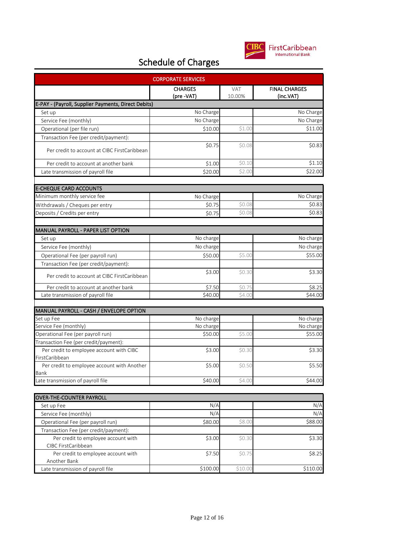

| <b>CORPORATE SERVICES</b>                           |                              |                      |                                   |  |
|-----------------------------------------------------|------------------------------|----------------------|-----------------------------------|--|
|                                                     | <b>CHARGES</b><br>(pre -VAT) | <b>VAT</b><br>10.00% | <b>FINAL CHARGES</b><br>(inc.VAT) |  |
| E-PAY - (Payroll, Supplier Payments, Direct Debits) |                              |                      |                                   |  |
| Set up                                              | No Charge                    |                      | No Charge                         |  |
| Service Fee (monthly)                               | No Charge                    |                      | No Charge                         |  |
| Operational (per file run)                          | \$10.00                      | \$1.00               | \$11.00                           |  |
| Transaction Fee (per credit/payment):               |                              |                      |                                   |  |
| Per credit to account at CIBC FirstCaribbean        | \$0.75                       | \$0.08               | \$0.83                            |  |
| Per credit to account at another bank               | \$1.00                       | \$0.10               | \$1.10                            |  |
| Late transmission of payroll file                   | \$20.00                      | \$2.00               | \$22.00                           |  |
| <b>E-CHEQUE CARD ACCOUNTS</b>                       |                              |                      |                                   |  |
| Minimum monthly service fee                         | No Charge                    |                      | No Charge                         |  |
| Withdrawals / Cheques per entry                     | \$0.75                       | \$0.08               | \$0.83                            |  |
| Deposits / Credits per entry                        | \$0.75                       | \$0.08               | \$0.83                            |  |
|                                                     |                              |                      |                                   |  |
| MANUAL PAYROLL - PAPER LIST OPTION                  |                              |                      |                                   |  |
| Set up                                              | No charge                    |                      | No charge                         |  |
| Service Fee (monthly)                               | No charge                    |                      | No charge                         |  |
| Operational Fee (per payroll run)                   | \$50.00                      | \$5.00               | \$55.00                           |  |
| Transaction Fee (per credit/payment):               |                              |                      |                                   |  |
| Per credit to account at CIBC FirstCaribbean        | \$3.00                       | \$0.30               | \$3.30                            |  |
| Per credit to account at another bank               | \$7.50                       | \$0.75               | \$8.25                            |  |
| Late transmission of payroll file                   | \$40.00                      | \$4.00               | \$44.00                           |  |
|                                                     |                              |                      |                                   |  |
| MANUAL PAYROLL - CASH / ENVELOPE OPTION             |                              |                      |                                   |  |
| Set up Fee<br>Service Fee (monthly)                 | No charge                    |                      | No charge                         |  |
| Operational Fee (per payroll run)                   | No charge<br>\$50.00         | \$5.00               | No charge<br>\$55.00              |  |
| Transaction Fee (per credit/payment):               |                              |                      |                                   |  |
| Per credit to employee account with CIBC            | \$3.00                       | \$0.30               | \$3.30                            |  |
| FirstCaribbean                                      |                              |                      |                                   |  |
| Per credit to employee account with Another         | \$5.00                       | \$0.50               | \$5.50                            |  |
| Bank                                                |                              |                      |                                   |  |
| Late transmission of payroll file                   | \$40.00                      | \$4.00               | \$44.00                           |  |
|                                                     |                              |                      |                                   |  |
| OVER-THE-COUNTER PAYROLL<br>Set up Fee              | N/A                          |                      | N/A                               |  |
| Service Fee (monthly)                               | N/A                          |                      | N/A                               |  |
| Operational Fee (per payroll run)                   | \$80.00                      | \$8.00               | \$88.00                           |  |
| Transaction Fee (per credit/payment):               |                              |                      |                                   |  |
| Per credit to employee account with                 | \$3.00                       | \$0.30               | \$3.30                            |  |
| CIBC FirstCaribbean                                 |                              |                      |                                   |  |
| Per credit to employee account with                 | \$7.50                       | \$0.75               | \$8.25                            |  |
| Another Bank                                        |                              |                      |                                   |  |
| Late transmission of payroll file                   | \$100.00                     | \$10.00              | \$110.00                          |  |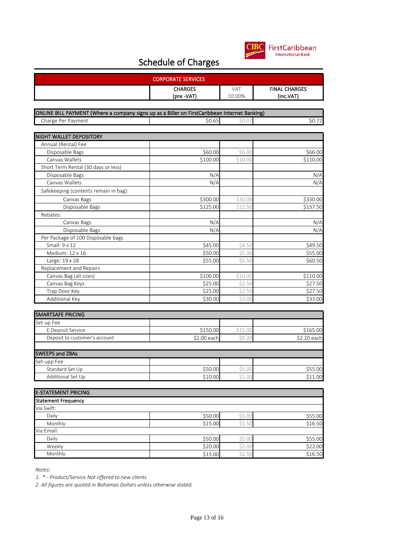

| <b>CORPORATE SERVICES</b>                                                                     |                              |                      |                                   |  |
|-----------------------------------------------------------------------------------------------|------------------------------|----------------------|-----------------------------------|--|
|                                                                                               | <b>CHARGES</b><br>(pre -VAT) | <b>VAT</b><br>10.00% | <b>FINAL CHARGES</b><br>(inc.VAT) |  |
|                                                                                               |                              |                      |                                   |  |
| ONLINE BILL PAYMENT (Where a company signs up as a Biller on FirstCaribbean Internet Banking) |                              |                      |                                   |  |
| Charge Per Payment                                                                            | \$0.65                       | \$0.07               | \$0.72                            |  |
|                                                                                               |                              |                      |                                   |  |
| NIGHT WALLET DEPOSITORY                                                                       |                              |                      |                                   |  |
| Annual (Rental) Fee                                                                           |                              |                      |                                   |  |
| Disposable Bags                                                                               | \$60.00                      | \$6.00               | \$66.00                           |  |
| Canvas Wallets                                                                                | \$100.00                     | \$10.00              | \$110.00                          |  |
| Short Term Rental (30 days or less)                                                           |                              |                      |                                   |  |
| Disposable Bags                                                                               | N/A                          |                      | N/A                               |  |
| Canvas Wallets                                                                                | N/A                          |                      | N/A                               |  |
| Safekeeping (contents remain in bag):                                                         |                              |                      |                                   |  |
| Canvas Bags                                                                                   | \$300.00                     | \$30.00              | \$330.00                          |  |
| Disposable Bags                                                                               | \$125.00                     | \$12.50              | \$137.50                          |  |
| Rebates:                                                                                      |                              |                      |                                   |  |
| Canvas Bags                                                                                   | N/A                          |                      | N/A                               |  |
| Disposable Bags                                                                               | N/A                          |                      | N/A                               |  |
| Per Package of 100 Disposable bags                                                            |                              |                      |                                   |  |
| Small: 9 x 12                                                                                 | \$45.00                      | \$4.50               | \$49.50                           |  |
| Medium: 12 x 16                                                                               | \$50.00                      | \$5.00               | \$55.00                           |  |
| Large: 19 x 28                                                                                | \$55.00                      | \$5.50               | \$60.50                           |  |
| Replacement and Repairs                                                                       |                              |                      |                                   |  |
| Canvas Bag (all sizes)                                                                        | \$100.00                     | \$10.00              | \$110.00                          |  |
| Canvas Bag Keys                                                                               | \$25.00                      | \$2.50               | \$27.50                           |  |
| Trap Door Key                                                                                 | \$25.00                      | \$2.50               | \$27.50                           |  |
| Additional Key                                                                                | \$30.00                      | \$3.00               | \$33.00                           |  |
| <b>SMARTSAFE PRICING</b>                                                                      |                              |                      |                                   |  |
| Set-up Fee                                                                                    |                              |                      |                                   |  |
| E-Deposit Service                                                                             | \$150.00                     | \$15.00              | \$165.00                          |  |
| Deposit to customer's account                                                                 | \$2.00 each                  | \$0.20               | \$2.20 each                       |  |
| <b>SWEEPS and ZBAs</b>                                                                        |                              |                      |                                   |  |
| Set-upp Fee                                                                                   |                              |                      |                                   |  |
| Standard Set Up                                                                               | \$50.00                      | \$5.00               | \$55.00                           |  |
| Additional Set Up                                                                             | \$10.00                      | \$1.00               | \$11.00                           |  |
| <b>E-STATEMENT PRICING</b>                                                                    |                              |                      |                                   |  |
| <b>Statement Frequency</b>                                                                    |                              |                      |                                   |  |
| Via Swift:                                                                                    |                              |                      |                                   |  |
| Daily                                                                                         | \$50.00                      | \$5.00               | \$55.00                           |  |
| Monthly                                                                                       | \$15.00                      | \$1.50               | \$16.50                           |  |
| Via Email:                                                                                    |                              |                      |                                   |  |
| Daily                                                                                         | \$50.00                      | \$5.00               | \$55.00                           |  |
| Weekly                                                                                        | \$20.00                      | \$2.00               | \$22.00                           |  |
| Monthly                                                                                       | \$15.00                      | \$1.50               | \$16.50                           |  |

*Notes:*

*1. \* - Product/Service Not offered to new clients*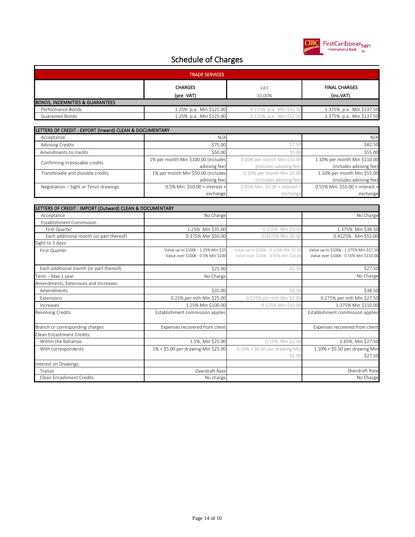

| <b>TRADE SERVICES</b>                                                                     |                         |                         |                          |  |
|-------------------------------------------------------------------------------------------|-------------------------|-------------------------|--------------------------|--|
| <b>CHARGES</b><br><b>FINAL CHARGES</b><br><b>VAT</b><br>(inc.VAT)<br>(pre -VAT)<br>10.00% |                         |                         |                          |  |
| <b>BONDS, INDEMNITIES &amp; GUARANTEES</b>                                                |                         |                         |                          |  |
| Performance Bonds                                                                         | 1.25% p.a. Min \$125.00 | 0.125% p.a. Min \$12.50 | 1.375% p.a. Min \$137.50 |  |
| Guarantee Bonds                                                                           | 1.25% p.a. Min \$125.00 | 0.125% p.a. Min \$12.50 | 1.375% p.a. Min \$137.50 |  |

| LETTERS OF CREDIT : EXPORT (Inward) CLEAN & DOCUMENTARY |                                     |                                |                                 |  |
|---------------------------------------------------------|-------------------------------------|--------------------------------|---------------------------------|--|
| Acceptance                                              | N/A                                 |                                | N/A                             |  |
| <b>Advising Credits</b>                                 | \$75.00                             | \$7.50                         | \$82.50                         |  |
| Amendments to credits                                   | \$50.00                             | \$5.00                         | \$55.00                         |  |
| Confirming irrevocable credits                          | 1% per month Min \$100.00 (includes | 0.10% per month Min \$10.00    | 1.10% per month Min \$110.00    |  |
|                                                         | advising fee)                       | (includes advising fee)        | (includes advising fee)         |  |
| Transferable and divisible credits                      | 1% per month Min \$50.00 (includes  | 0.10% per month Min \$5.00     | 1.10% per month Min \$55.00     |  |
|                                                         | advising fee)                       | (includes advising fee)        | (includes advising fee)         |  |
| Negotiation – Sight or Tenor drawings                   | $0.5\%$ Min. \$50.00 + interest +   | 0.05% Min. \$5.00 + interest + | 0.55% Min. \$55.00 + interest + |  |
|                                                         | exchange                            | exchange                       | exchange                        |  |

| LETTERS OF CREDIT : IMPORT (Outward) CLEAN & DOCUMENTARY |                                                                           |                                                                                 |                                                                                   |
|----------------------------------------------------------|---------------------------------------------------------------------------|---------------------------------------------------------------------------------|-----------------------------------------------------------------------------------|
| Acceptance                                               | No Charge                                                                 |                                                                                 | No Charge                                                                         |
| Establishment Commission:                                |                                                                           |                                                                                 |                                                                                   |
| First Quarter                                            | 1.25% Min \$35.00                                                         | 0.125% Min \$3.50                                                               | 1.375% Min \$38.50                                                                |
| Each additional month (or part thereof)                  | 0.375% Min \$50.00                                                        | 0.0375% Min \$5.00                                                              | 0.4125% Min \$55.00                                                               |
| Sight to 3 days:                                         |                                                                           |                                                                                 |                                                                                   |
| First Quarter                                            | Value up to \$100k - 1.25% Min \$25<br>Value over \$100k - 0.5% Min \$100 | Value up to \$100k - 0.125% Min \$2.50<br>Value over \$100k - 0.05% Min \$10.00 | Value up to \$100k - 1.375% Min \$27.50<br>Value over \$100k - 0.55% Min \$110.00 |
| Each additional month (or part thereof)                  | \$25.00                                                                   | \$2.50                                                                          | \$27.50                                                                           |
| Term - Max 1 year                                        | No Charge                                                                 |                                                                                 | No Charge                                                                         |
| Amendments, Extensions and Increases:                    |                                                                           |                                                                                 |                                                                                   |
| Amendments                                               | \$35.00                                                                   | \$3.50                                                                          | \$38.50                                                                           |
| Extensions                                               | 0.25% per mth Min \$25.00                                                 | 0.025% per mth Min \$2.50                                                       | 0.275% per mth Min \$27.50                                                        |
| Increases                                                | 1.25% Min \$100.00                                                        | 0.125% Min \$10.00                                                              | 1.375% Min \$110.00                                                               |
| Revolving Credits                                        | Establishment commission applies                                          |                                                                                 | Establishment commission applies                                                  |
| Branch or corresponding charges                          | Expenses recovered from client                                            |                                                                                 | Expenses recovered from client                                                    |
| Clean Encashment Credits:                                |                                                                           |                                                                                 |                                                                                   |
| Within the Bahamas                                       | 1.5%, Min \$25.00                                                         | 0.15%, Min \$2.50                                                               | 1.65%, Min \$27.50                                                                |
| With correspondents                                      | 1% + \$5.00 per drawing Min \$25.00                                       | $0.10\% + $0.50$ per drawing Min                                                | $1.10\% + $5.50$ per drawing Min                                                  |
|                                                          |                                                                           | \$2.50                                                                          | \$27.50                                                                           |
| Interest on Drawings:                                    |                                                                           |                                                                                 |                                                                                   |
| Transit                                                  | Overdraft Rate                                                            |                                                                                 | Overdraft Rate                                                                    |
| Clean Encashment Credits                                 | No charge                                                                 |                                                                                 | No Charge                                                                         |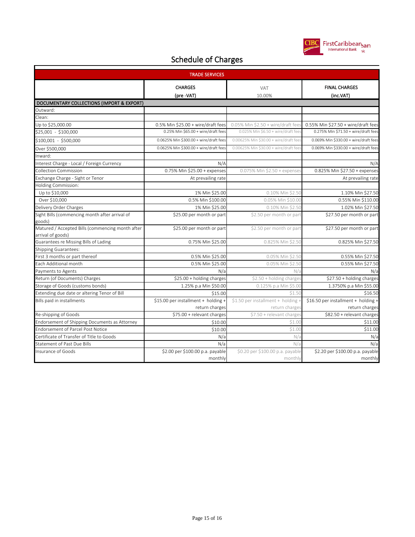

| <b>TRADE SERVICES</b>                                             |                                                |                                              |                                                |  |  |
|-------------------------------------------------------------------|------------------------------------------------|----------------------------------------------|------------------------------------------------|--|--|
|                                                                   | <b>CHARGES</b><br>(pre -VAT)                   | <b>VAT</b><br>10.00%                         | <b>FINAL CHARGES</b><br>(inc.VAT)              |  |  |
| DOCUMENTARY COLLECTIONS (IMPORT & EXPORT)                         |                                                |                                              |                                                |  |  |
| Outward:                                                          |                                                |                                              |                                                |  |  |
| Clean:                                                            |                                                |                                              |                                                |  |  |
| Up to \$25,000.00                                                 | $0.5\%$ Min \$25.00 + wire/draft fees          | $0.05\%$ Min \$2.50 + wire/draft fees        | 0.55% Min \$27.50 + wire/draft fees            |  |  |
| \$25,001 - \$100,000                                              | 0.25% Min \$65.00 + wire/draft fees            | 0.025% Min \$6.50 + wire/draft fees          | 0.275% Min \$71.50 + wire/draft fees           |  |  |
| \$100,001 - \$500,000                                             | 0.0625% Min \$300.00 + wire/draft fees         | 0.00625% Min \$30.00 + wire/draft fees       | 0.069% Min \$330.00 + wire/draft fees          |  |  |
| Over \$500,000                                                    | 0.0625% Min \$300.00 + wire/draft fees         | 0.00625% Min \$30.00 + wire/draft fee        | 0.069% Min \$330.00 + wire/draft fees          |  |  |
| Inward:                                                           |                                                |                                              |                                                |  |  |
| Interest Charge - Local / Foreign Currency                        | N/A                                            |                                              | N/A                                            |  |  |
| <b>Collection Commission</b>                                      | 0.75% Min \$25.00 + expenses                   | 0.075% Min \$2.50 + expenses                 | 0.825% Min \$27.50 + expenses                  |  |  |
| Exchange Charge - Sight or Tenor                                  | At prevailing rate                             |                                              | At prevailing rate                             |  |  |
| Holding Commission:                                               |                                                |                                              |                                                |  |  |
| Up to \$10,000                                                    | 1% Min \$25.00                                 | 0.10% Min \$2.50                             | 1.10% Min \$27.50                              |  |  |
| Over \$10,000                                                     | 0.5% Min \$100.00                              | 0.05% Min \$10.00                            | 0.55% Min \$110.00                             |  |  |
| Delivery Order Charges                                            | 1% Min \$25.00                                 | 0.10% Min \$2.50                             | 1.02% Min \$27.50                              |  |  |
| Sight Bills (commencing month after arrival of                    | \$25.00 per month or part                      | \$2.50 per month or part                     | \$27.50 per month or part                      |  |  |
| goods)                                                            |                                                |                                              |                                                |  |  |
| Matured / Accepted Bills (commencing month after                  | \$25.00 per month or part                      | \$2.50 per month or part                     | \$27.50 per month or part                      |  |  |
| arrival of goods)                                                 |                                                |                                              |                                                |  |  |
| Guarantees re Missing Bills of Lading                             | 0.75% Min \$25.00                              | 0.825% Min \$2.50                            | 0.825% Min \$27.50                             |  |  |
| Shipping Guarantees:                                              |                                                |                                              |                                                |  |  |
| First 3 months or part thereof                                    | 0.5% Min \$25.00                               | 0.05% Min \$2.50                             | 0.55% Min \$27.50                              |  |  |
| Each Additional month                                             | 0.5% Min \$25.00                               | 0.05% Min \$2.50                             | 0.55% Min \$27.50                              |  |  |
| Payments to Agents                                                | N/a                                            | N/a                                          | N/a                                            |  |  |
| Return (of Documents) Charges<br>Storage of Goods (customs bonds) | \$25.00 + holding charges                      | \$2.50 + holding charges                     | \$27.50 + holding charges                      |  |  |
| Extending due date or altering Tenor of Bill                      | 1.25% p.a Min \$50.00                          | 0.125% p.a Min \$5.00                        | 1.3750% p.a Min \$55.00                        |  |  |
| Bills paid in installments                                        | \$15.00<br>\$15.00 per installment + holding + | \$1.50<br>\$1.50 per installment + holding + | \$16.50<br>\$16.50 per installment + holding + |  |  |
|                                                                   | return charges                                 | return charges                               | return charges                                 |  |  |
| Re-shipping of Goods                                              | \$75.00 + relevant charges                     | \$7.50 + relevant charges                    | \$82.50 + relevant charges                     |  |  |
| Endorsement of Shipping Documents as Attorney                     | \$10.00                                        | \$1.00                                       | \$11.00                                        |  |  |
| <b>Endorsement of Parcel Post Notice</b>                          | \$10.00                                        | \$1.00                                       | \$11.00                                        |  |  |
| Certificate of Transfer of Title to Goods                         | N/a                                            | N/a                                          | N/a                                            |  |  |
| <b>Statement of Past Due Bills</b>                                | N/a                                            | N/a                                          | N/a                                            |  |  |
| Insurance of Goods                                                | \$2.00 per \$100.00 p.a. payable               | \$0.20 per \$100.00 p.a. payable             | \$2.20 per \$100.00 p.a. payable               |  |  |
|                                                                   | monthly                                        | monthly                                      | monthly                                        |  |  |